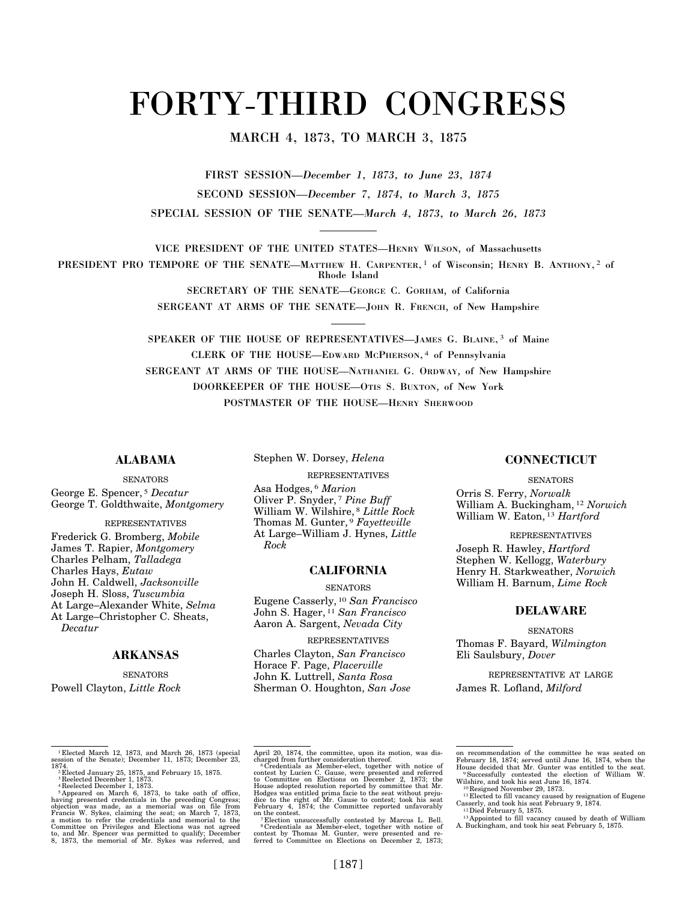# FORTY-THIRD CONGRESS

# MARCH 4, 1873, TO MARCH 3, 1875

FIRST SESSION—*December 1, 1873, to June 23, 1874*  SECOND SESSION—*December 7, 1874, to March 3, 1875*  SPECIAL SESSION OF THE SENATE—*March 4, 1873, to March 26, 1873* 

VICE PRESIDENT OF THE UNITED STATES—HENRY WILSON, of Massachusetts

PRESIDENT PRO TEMPORE OF THE SENATE—MATTHEW H. CARPENTER,<sup>1</sup> of Wisconsin; HENRY B. ANTHONY,<sup>2</sup> of Rhode Island

> SECRETARY OF THE SENATE—GEORGE C. GORHAM, of California SERGEANT AT ARMS OF THE SENATE—JOHN R. FRENCH, of New Hampshire

SPEAKER OF THE HOUSE OF REPRESENTATIVES—JAMES G. BLAINE, 3 of Maine CLERK OF THE HOUSE—EDWARD MCPHERSON, 4 of Pennsylvania SERGEANT AT ARMS OF THE HOUSE—NATHANIEL G. ORDWAY, of New Hampshire DOORKEEPER OF THE HOUSE—OTIS S. BUXTON, of New York POSTMASTER OF THE HOUSE—HENRY SHERWOOD

# **ALABAMA SENATORS**

Stephen W. Dorsey, *Helena* 

REPRESENTATIVES

George E. Spencer, 5 *Decatur*  George T. Goldthwaite, *Montgomery* 

## REPRESENTATIVES

Frederick G. Bromberg, *Mobile*  James T. Rapier, *Montgomery*  Charles Pelham, *Talladega*  Charles Hays, *Eutaw*  John H. Caldwell, *Jacksonville*  Joseph H. Sloss, *Tuscumbia*  At Large–Alexander White, *Selma*  At Large–Christopher C. Sheats, *Decatur* 

## **ARKANSAS**

**SENATORS** Powell Clayton, *Little Rock*  Asa Hodges, 6 *Marion*  Oliver P. Snyder, 7 *Pine Buff*  William W. Wilshire, 8 *Little Rock*  Thomas M. Gunter, 9 *Fayetteville*  At Large–William J. Hynes, *Little Rock* 

## **CALIFORNIA**

#### **SENATORS**

Eugene Casserly, 10 *San Francisco*  John S. Hager, 11 *San Francisco*  Aaron A. Sargent, *Nevada City* 

REPRESENTATIVES

Charles Clayton, *San Francisco*  Horace F. Page, *Placerville*  John K. Luttrell, *Santa Rosa*  Sherman O. Houghton, *San Jose* 

## **CONNECTICUT**

**SENATORS** Orris S. Ferry, *Norwalk* 

William A. Buckingham, 12 *Norwich*  William W. Eaton, 13 *Hartford* 

REPRESENTATIVES Joseph R. Hawley, *Hartford*  Stephen W. Kellogg, *Waterbury*  Henry H. Starkweather, *Norwich*  William H. Barnum, *Lime Rock* 

## **DELAWARE**

**SENATORS** Thomas F. Bayard, *Wilmington*  Eli Saulsbury, *Dover* 

REPRESENTATIVE AT LARGE James R. Lofland, *Milford* 

<sup>1</sup> Elected March 12, 1873, and March 26, 1873 (special session of the Senate); December 11, 1873; December 23,

<sup>1874.&</sup>lt;br>
<sup>2</sup>Elected January 25, 1875, and February 15, 1875.<br>
<sup>2</sup>Elected December 1, 1873.<br>
<sup>2</sup>Elected December 1, 1873.<br>
<sup>4</sup>Reelected December 1, 1873.<br>
<sup>2</sup>Appeared on March 6, 1873, to take oath of office,<br>
having present

April 20, 1874, the committee, upon its motion, was discharged from further consideration thereof.<br>
charged from further consideration thereof.<br>
Credentials as Member-elect, together with notice of

contest by Lucien C. Gause, were presented and referred to Committee on Elections on December 2, 1873; the House adopted resolution reported by committee that Mr. Hodges was entitled prima facie to the seat without prejudice to the right of Mr. Gause to contest; took his seat

on recommendation of the committee he was seated on<br>February 18, 1874; served until June 16, 1874, when the<br>House decided that Mr. Gunter was entitled to the seat.<br>"Successfully contested the election of William W.<br>Wilshir

<sup>&</sup>lt;sup>10</sup> Resigned November 29, 1873.<br><sup>11</sup> Elected to fill vacancy caused by resignation of Eugene<br>Casserly, and took his seat February 9, 1874.<br><sup>12</sup> Died February 5, 1875.<br><sup>13</sup> Appointed to fill vacancy caused by death of Wil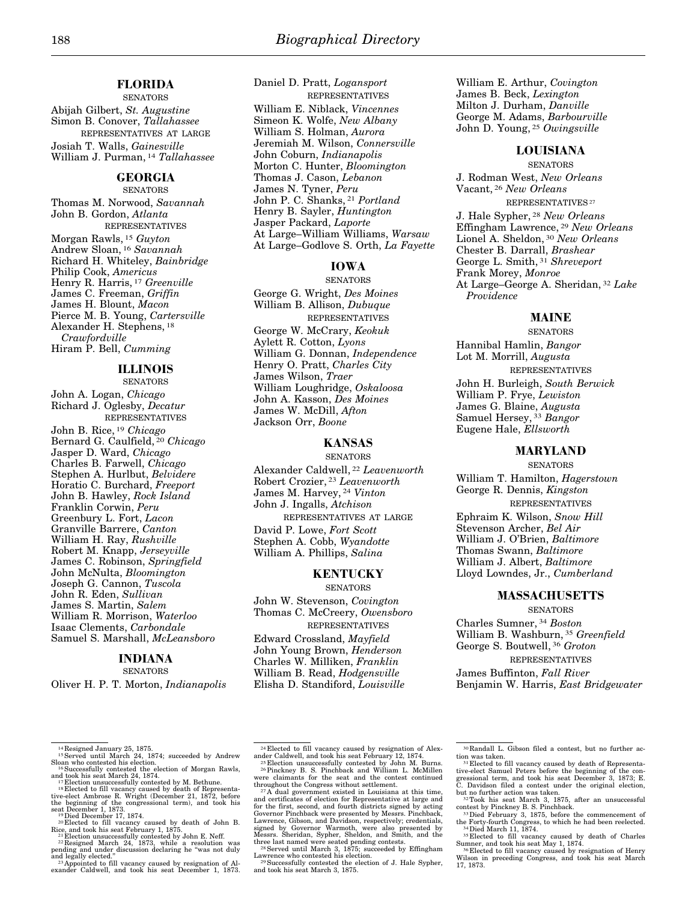Daniel D. Pratt, *Logansport* 

# **FLORIDA**

**SENATORS** Abijah Gilbert, *St. Augustine*  Simon B. Conover, *Tallahassee*  REPRESENTATIVES AT LARGE Josiah T. Walls, *Gainesville*  William J. Purman, 14 *Tallahassee* 

## **GEORGIA**

**SENATORS** Thomas M. Norwood, *Savannah*  John B. Gordon, *Atlanta*  REPRESENTATIVES Morgan Rawls, 15 *Guyton*  Andrew Sloan, 16 *Savannah*  Richard H. Whiteley, *Bainbridge*  Philip Cook, *Americus*  Henry R. Harris, 17 *Greenville*  James C. Freeman, *Griffin*  James H. Blount, *Macon*  Pierce M. B. Young, *Cartersville*  Alexander H. Stephens, 18 *Crawfordville*  Hiram P. Bell, *Cumming* 

## **ILLINOIS**

**SENATORS** 

John A. Logan, *Chicago*  Richard J. Oglesby, *Decatur*  REPRESENTATIVES

John B. Rice, 19 *Chicago*  Bernard G. Caulfield, 20 *Chicago*  Jasper D. Ward, *Chicago*  Charles B. Farwell, *Chicago*  Stephen A. Hurlbut, *Belvidere*  Horatio C. Burchard, *Freeport*  John B. Hawley, *Rock Island*  Franklin Corwin, *Peru*  Greenbury L. Fort, *Lacon*  Granville Barrere, *Canton*  William H. Ray, *Rushville*  Robert M. Knapp, *Jerseyville*  James C. Robinson, *Springfield*  John McNulta, *Bloomington*  Joseph G. Cannon, *Tuscola*  John R. Eden, *Sullivan*  James S. Martin, *Salem*  William R. Morrison, *Waterloo*  Isaac Clements, *Carbondale*  Samuel S. Marshall, *McLeansboro* 

# **INDIANA**

**SENATORS** 

Oliver H. P. T. Morton, *Indianapolis* 

REPRESENTATIVES William E. Niblack, *Vincennes*  Simeon K. Wolfe, *New Albany*  William S. Holman, *Aurora*  Jeremiah M. Wilson, *Connersville*  John Coburn, *Indianapolis*  Morton C. Hunter, *Bloomington*  Thomas J. Cason, *Lebanon*  James N. Tyner, *Peru*  John P. C. Shanks, 21 *Portland*  Henry B. Sayler, *Huntington*  Jasper Packard, *Laporte*  At Large–William Williams, *Warsaw*  At Large–Godlove S. Orth, *La Fayette* 

## **IOWA**

**SENATORS** George G. Wright, *Des Moines*  William B. Allison, *Dubuque*  REPRESENTATIVES George W. McCrary, *Keokuk*  Aylett R. Cotton, *Lyons*  William G. Donnan, *Independence*  Henry O. Pratt, *Charles City*  James Wilson, *Traer*  William Loughridge, *Oskaloosa*  John A. Kasson, *Des Moines* 

James W. McDill, *Afton*  Jackson Orr, *Boone* 

## **KANSAS**

**SENATORS** 

Alexander Caldwell, 22 *Leavenworth*  Robert Crozier, 23 *Leavenworth*  James M. Harvey, 24 *Vinton*  John J. Ingalls, *Atchison*  REPRESENTATIVES AT LARGE David P. Lowe, *Fort Scott*  Stephen A. Cobb, *Wyandotte*  William A. Phillips, *Salina* 

# **KENTUCKY**

SENATORS

John W. Stevenson, *Covington*  Thomas C. McCreery, *Owensboro*  REPRESENTATIVES

Edward Crossland, *Mayfield*  John Young Brown, *Henderson*  Charles W. Milliken, *Franklin*  William B. Read, *Hodgensville*  Elisha D. Standiford, *Louisville* 

William E. Arthur, *Covington*  James B. Beck, *Lexington*  Milton J. Durham, *Danville*  George M. Adams, *Barbourville*  John D. Young, 25 *Owingsville* 

## **LOUISIANA**

SENATORS J. Rodman West, *New Orleans*  Vacant, 26 *New Orleans*  REPRESENTATIVES 27 J. Hale Sypher, 28 *New Orleans*  Effingham Lawrence, 29 *New Orleans*  Lionel A. Sheldon, 30 *New Orleans*  Chester B. Darrall, *Brashear*  George L. Smith, 31 *Shreveport*  Frank Morey, *Monroe*  At Large–George A. Sheridan, 32 *Lake Providence* 

## **MAINE**

**SENATORS** Hannibal Hamlin, *Bangor*  Lot M. Morrill, *Augusta*  REPRESENTATIVES John H. Burleigh, *South Berwick*  William P. Frye, *Lewiston*  James G. Blaine, *Augusta*  Samuel Hersey, 33 *Bangor*  Eugene Hale, *Ellsworth* 

#### **MARYLAND**

SENATORS William T. Hamilton, *Hagerstown*  George R. Dennis, *Kingston*  REPRESENTATIVES Ephraim K. Wilson, *Snow Hill*  Stevenson Archer, *Bel Air*  William J. O'Brien, *Baltimore*  Thomas Swann, *Baltimore*  William J. Albert, *Baltimore* 

Lloyd Lowndes, Jr., *Cumberland* 

# **MASSACHUSETTS**

**SENATORS** 

Charles Sumner, 34 *Boston*  William B. Washburn, 35 *Greenfield*  George S. Boutwell, 36 *Groton* 

REPRESENTATIVES

James Buffinton, *Fall River*  Benjamin W. Harris, *East Bridgewater* 

Lawrence who contested his election.<br><sup>29</sup> Successfully contested the election of J. Hale Sypher, and took his seat March 3, 1875.

<sup>&</sup>lt;sup>14</sup> Resigned January 25, 1875.<br><sup>15</sup> Served until March 24, 1874; succeeded by Andrew

Sloan who contested his election.<br><sup>16</sup> Successfully contested the election of Morgan Rawls,

and took his seat March 24, 1874.<br><sup>17</sup> Election unsuccessfully contested by M. Bethune.<br><sup>18</sup> Elected to fill vacancy caused by death of Representa-<br>tive-elect Ambrose R. Wright (December 21, 1872, before

the beginning of the congressional term), and took his seat December 1, 1873.<br><sup>19</sup> Died December 17, 1874.<br><sup>20</sup> Elected to fill vacancy caused by death of John B.

Rice, and took his seat February 1, 1875.<br><sup>21</sup> Election unsuccessfully contested by John E. Neff.<br><sup>22</sup> Resigned March 24, 1873, while a resolution was<br>pending and under discussion declaring he "was not duly

and legally elected.'' <sup>23</sup> Appointed to fill vacancy caused by resignation of Al-exander Caldwell, and took his seat December 1, 1873.

<sup>&</sup>lt;sup>24</sup> Elected to fill vacancy caused by resignation of Alex-<br>ander Caldwell, and took his seat February 12, 1874.<br><sup>25</sup> Election unsuccessfully contested by John M. Burns.<br><sup>26</sup> Pinckney B. S. Pinchback and William L. McMill

<sup>&</sup>lt;sup>26</sup> Electron unsuccessimly contested by some m. Edino.<br><sup>26</sup> Pinckney B. S. Pinchback and William L. McMillen<br>were claimants for the seat and the contest continued

throughout the Congress without settlement. <sup>27</sup> A dual government existed in Louisiana at this time, and certificates of election for Representative at large and for the first, second, and fourth districts signed by acting<br>Governor Pinchback were presented by Messrs. Pinchback,<br>Lawrence, Gibson, and Davidson, respectively; credentials,<br>signed by Governor Warmoth, were also presente three last named were seated pending contests. 28Served until March 3, 1875; succeeded by Effingham

<sup>30</sup> Randall L. Gibson filed a contest, but no further ac-

tion was taken.<br>
<sup>31</sup> Elected to fill vacancy caused by death of Representa-<br>
<sup>31</sup> Elected Samuel Peters before the beginning of the congressional term, and took his seat December 3, 1873; E.<br>
C. Davidson filed a contest

contest by Pinckney B. S. Pinchback. 33Died February 3, 1875, before the commencement of

the Forty-fourth Congress, to which he had been reelected.<br><sup>34</sup> Died March 11, 1874.<br><sup>35</sup> Elected to fill vacancy caused by death of Charles<br>Sumner, and took his seat May 1, 1874.<br><sup>36</sup> Elected to fill vacancy caused by re

Wilson in preceding Congress, and took his seat March 17, 1873.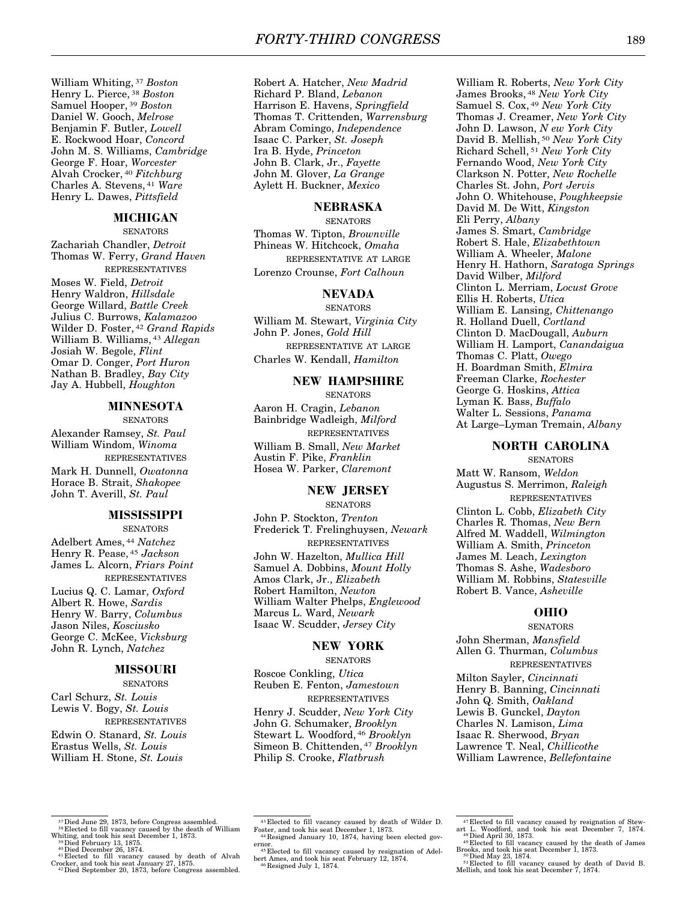William Whiting, 37 *Boston*  Henry L. Pierce, 38 *Boston*  Samuel Hooper, 39 *Boston*  Daniel W. Gooch, *Melrose*  Benjamin F. Butler, *Lowell*  E. Rockwood Hoar, *Concord*  John M. S. Williams, *Cambridge*  George F. Hoar, *Worcester*  Alvah Crocker, 40 *Fitchburg*  Charles A. Stevens, 41 *Ware*  Henry L. Dawes, *Pittsfield* 

#### **MICHIGAN**

**SENATORS** Zachariah Chandler, *Detroit*  Thomas W. Ferry, *Grand Haven*  REPRESENTATIVES

Moses W. Field, *Detroit*  Henry Waldron, *Hillsdale*  George Willard, *Battle Creek*  Julius C. Burrows, *Kalamazoo*  Wilder D. Foster, 42 *Grand Rapids*  William B. Williams, 43 *Allegan*  Josiah W. Begole, *Flint*  Omar D. Conger, *Port Huron*  Nathan B. Bradley, *Bay City*  Jay A. Hubbell, *Houghton* 

## **MINNESOTA**

**SENATORS** 

Alexander Ramsey, *St. Paul*  William Windom, *Winoma*  REPRESENTATIVES

Mark H. Dunnell, *Owatonna*  Horace B. Strait, *Shakopee*  John T. Averill, *St. Paul* 

## **MISSISSIPPI**

**SENATORS** Adelbert Ames, 44 *Natchez*  Henry R. Pease, 45 *Jackson*  James L. Alcorn, *Friars Point*  REPRESENTATIVES Lucius Q. C. Lamar, *Oxford*  Albert R. Howe, *Sardis*  Henry W. Barry, *Columbus*  Jason Niles, *Kosciusko*  George C. McKee, *Vicksburg*  John R. Lynch, *Natchez* 

## **MISSOURI**

**SENATORS** Carl Schurz, *St. Louis*  Lewis V. Bogy, *St. Louis*  REPRESENTATIVES Edwin O. Stanard, *St. Louis*  Erastus Wells, *St. Louis*  William H. Stone, *St. Louis* 

Robert A. Hatcher, *New Madrid*  Richard P. Bland, *Lebanon*  Harrison E. Havens, *Springfield*  Thomas T. Crittenden, *Warrensburg*  Abram Comingo, *Independence*  Isaac C. Parker, *St. Joseph*  Ira B. Hyde, *Princeton*  John B. Clark, Jr., *Fayette*  John M. Glover, *La Grange*  Aylett H. Buckner, *Mexico* 

## **NEBRASKA**

**SENATORS** Thomas W. Tipton, *Brownville*  Phineas W. Hitchcock, *Omaha*  REPRESENTATIVE AT LARGE Lorenzo Crounse, *Fort Calhoun* 

#### **NEVADA**

SENATORS William M. Stewart, *Virginia City*  John P. Jones, *Gold Hill*  REPRESENTATIVE AT LARGE Charles W. Kendall, *Hamilton* 

#### **NEW HAMPSHIRE**

**SENATORS** Aaron H. Cragin, *Lebanon*  Bainbridge Wadleigh, *Milford*  REPRESENTATIVES William B. Small, *New Market*  Austin F. Pike, *Franklin*  Hosea W. Parker, *Claremont* 

## **NEW JERSEY**

**SENATORS** John P. Stockton, *Trenton*  Frederick T. Frelinghuysen, *Newark*  REPRESENTATIVES John W. Hazelton, *Mullica Hill*  Samuel A. Dobbins, *Mount Holly*  Amos Clark, Jr., *Elizabeth*  Robert Hamilton, *Newton*  William Walter Phelps, *Englewood*  Marcus L. Ward, *Newark*  Isaac W. Scudder, *Jersey City* 

## **NEW YORK**

**SENATORS** 

Roscoe Conkling, *Utica*  Reuben E. Fenton, *Jamestown*  REPRESENTATIVES Henry J. Scudder, *New York City*  John G. Schumaker, *Brooklyn*  Stewart L. Woodford, 46 *Brooklyn*  Simeon B. Chittenden, 47 *Brooklyn*  Philip S. Crooke, *Flatbrush* 

William R. Roberts, *New York City*  James Brooks, 48 *New York City*  Samuel S. Cox, 49 *New York City*  Thomas J. Creamer, *New York City*  John D. Lawson, *N ew York City*  David B. Mellish, 50 *New York City*  Richard Schell, 51 *New York City*  Fernando Wood, *New York City*  Clarkson N. Potter, *New Rochelle*  Charles St. John, *Port Jervis*  John O. Whitehouse, *Poughkeepsie*  David M. De Witt, *Kingston*  Eli Perry, *Albany*  James S. Smart, *Cambridge*  Robert S. Hale, *Elizabethtown*  William A. Wheeler, *Malone*  Henry H. Hathorn, *Saratoga Springs*  David Wilber, *Milford*  Clinton L. Merriam, *Locust Grove*  Ellis H. Roberts, *Utica*  William E. Lansing, *Chittenango*  R. Holland Duell, *Cortland*  Clinton D. MacDougall, *Auburn*  William H. Lamport, *Canandaigua*  Thomas C. Platt, *Owego*  H. Boardman Smith, *Elmira*  Freeman Clarke, *Rochester*  George G. Hoskins, *Attica*  Lyman K. Bass, *Buffalo*  Walter L. Sessions, *Panama*  At Large–Lyman Tremain, *Albany* 

## **NORTH CAROLINA**

SENATORS Matt W. Ransom, *Weldon*  Augustus S. Merrimon, *Raleigh*  REPRESENTATIVES Clinton L. Cobb, *Elizabeth City*  Charles R. Thomas, *New Bern*  Alfred M. Waddell, *Wilmington*  William A. Smith, *Princeton*  James M. Leach, *Lexington*  Thomas S. Ashe, *Wadesboro*  William M. Robbins, *Statesville*  Robert B. Vance, *Asheville* 

#### **OHIO**

**SENATORS** John Sherman, *Mansfield*  Allen G. Thurman, *Columbus*  REPRESENTATIVES Milton Sayler, *Cincinnati*  Henry B. Banning, *Cincinnati*  John Q. Smith, *Oakland*  Lewis B. Gunckel, *Dayton*  Charles N. Lamison, *Lima*  Isaac R. Sherwood, *Bryan*  Lawrence T. Neal, *Chillicothe*  William Lawrence, *Bellefontaine* 

<sup>37</sup> Died June 29, 1873, before Congress assembled.<br><sup>38</sup> Elected to fill vacancy caused by the death of William

Whiting, and took his seat December 1, 1873.<br><sup>39</sup>Died February 13, 1875.<br><sup>40</sup>Died December 26, 1874.<br><sup>41</sup> Elected to fill vacancy caused by death of Alvah Crocker, and took his seat January 27, 1875. 42Died September 20, 1873, before Congress assembled.

<sup>43</sup> Elected to fill vacancy caused by death of Wilder D. Foster, and took his seat December 1, 1873. 44 Resigned January 10, 1874, having been elected gov-

ernor. 45 Elected to fill vacancy caused by resignation of Adel-bert Ames, and took his seat February 12, 1874. 46 Resigned July 1, 1874.

<sup>&</sup>lt;sup>47</sup> Elected to fill vacancy caused by resignation of Stewart L. Woodford, and took his seat December 7, 1874.  $48$  Died April 30, 1873.<br><sup>48</sup> Elected to fill vacancy caused by the death of James

Brooks, and took his seat December 1, 1873.<br><sup>50</sup>Died May 23, 1874.<br><sup>51</sup> Elected to fill vacancy caused by death of David B.<br>Mellish, and took his seat December 7, 1874.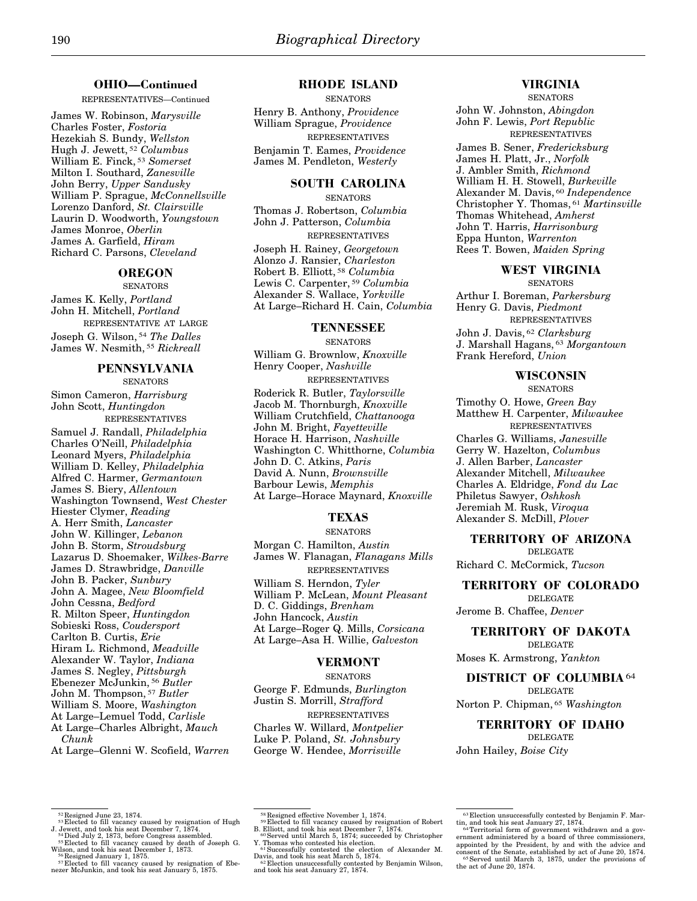## **OHIO—Continued**

REPRESENTATIVES—Continued

James W. Robinson, *Marysville*  Charles Foster, *Fostoria*  Hezekiah S. Bundy, *Wellston*  Hugh J. Jewett, 52 *Columbus*  William E. Finck, 53 *Somerset*  Milton I. Southard, *Zanesville*  John Berry, *Upper Sandusky*  William P. Sprague, *McConnellsville*  Lorenzo Danford, *St. Clairsville*  Laurin D. Woodworth, *Youngstown*  James Monroe, *Oberlin*  James A. Garfield, *Hiram*  Richard C. Parsons, *Cleveland* 

## **OREGON**

**SENATORS** James K. Kelly, *Portland*  John H. Mitchell, *Portland*  REPRESENTATIVE AT LARGE Joseph G. Wilson, 54 *The Dalles*  James W. Nesmith, 55 *Rickreall* 

#### **PENNSYLVANIA SENATORS**

Simon Cameron, *Harrisburg*  John Scott, *Huntingdon*  REPRESENTATIVES Samuel J. Randall, *Philadelphia* 

Charles O'Neill, *Philadelphia*  Leonard Myers, *Philadelphia*  William D. Kelley, *Philadelphia*  Alfred C. Harmer, *Germantown*  James S. Biery, *Allentown*  Washington Townsend, *West Chester*  Hiester Clymer, *Reading*  A. Herr Smith, *Lancaster*  John W. Killinger, *Lebanon*  John B. Storm, *Stroudsburg*  Lazarus D. Shoemaker, *Wilkes-Barre*  James D. Strawbridge, *Danville*  John B. Packer, *Sunbury*  John A. Magee, *New Bloomfield*  John Cessna, *Bedford*  R. Milton Speer, *Huntingdon*  Sobieski Ross, *Coudersport*  Carlton B. Curtis, *Erie*  Hiram L. Richmond, *Meadville*  Alexander W. Taylor, *Indiana*  James S. Negley, *Pittsburgh*  Ebenezer McJunkin, 56 *Butler*  John M. Thompson, 57 *Butler*  William S. Moore, *Washington*  At Large–Lemuel Todd, *Carlisle*  At Large–Charles Albright, *Mauch Chunk*  At Large–Glenni W. Scofield, *Warren* 

#### **RHODE ISLAND**

**SENATORS** Henry B. Anthony, *Providence*  William Sprague, *Providence*  REPRESENTATIVES Benjamin T. Eames, *Providence*  James M. Pendleton, *Westerly* 

## **SOUTH CAROLINA**

**SENATORS** Thomas J. Robertson, *Columbia*  John J. Patterson, *Columbia*  REPRESENTATIVES Joseph H. Rainey, *Georgetown*  Alonzo J. Ransier, *Charleston*  Robert B. Elliott, 58 *Columbia*  Lewis C. Carpenter, 59 *Columbia*  Alexander S. Wallace, *Yorkville*  At Large–Richard H. Cain, *Columbia* 

#### **TENNESSEE**

**SENATORS** William G. Brownlow, *Knoxville*  Henry Cooper, *Nashville*  REPRESENTATIVES Roderick R. Butler, *Taylorsville*  Jacob M. Thornburgh, *Knoxville*  William Crutchfield, *Chattanooga*  John M. Bright, *Fayetteville*  Horace H. Harrison, *Nashville*  Washington C. Whitthorne, *Columbia*  John D. C. Atkins, *Paris*  David A. Nunn, *Brownsville*  Barbour Lewis, *Memphis*  At Large–Horace Maynard, *Knoxville* 

## **TEXAS**

#### **SENATORS**

Morgan C. Hamilton, *Austin*  James W. Flanagan, *Flanagans Mills*  REPRESENTATIVES William S. Herndon, *Tyler*  William P. McLean, *Mount Pleasant*  D. C. Giddings, *Brenham*  John Hancock, *Austin*  At Large–Roger Q. Mills, *Corsicana*  At Large–Asa H. Willie, *Galveston* 

#### **VERMONT**

**SENATORS** 

George F. Edmunds, *Burlington*  Justin S. Morrill, *Strafford*  REPRESENTATIVES Charles W. Willard, *Montpelier*  Luke P. Poland, *St. Johnsbury*  George W. Hendee, *Morrisville* 

## **VIRGINIA**

**SENATORS** 

John W. Johnston, *Abingdon*  John F. Lewis, *Port Republic*  REPRESENTATIVES

James B. Sener, *Fredericksburg*  James H. Platt, Jr., *Norfolk*  J. Ambler Smith, *Richmond*  William H. H. Stowell, *Burkeville*  Alexander M. Davis, 60 *Independence*  Christopher Y. Thomas, 61 *Martinsville*  Thomas Whitehead, *Amherst*  John T. Harris, *Harrisonburg*  Eppa Hunton, *Warrenton*  Rees T. Bowen, *Maiden Spring* 

## **WEST VIRGINIA**

**SENATORS** Arthur I. Boreman, *Parkersburg*  Henry G. Davis, *Piedmont*  REPRESENTATIVES John J. Davis, 62 *Clarksburg*  J. Marshall Hagans, 63 *Morgantown*  Frank Hereford, *Union* 

#### **WISCONSIN SENATORS**

Timothy O. Howe, *Green Bay*  Matthew H. Carpenter, *Milwaukee*  REPRESENTATIVES Charles G. Williams, *Janesville*  Gerry W. Hazelton, *Columbus*  J. Allen Barber, *Lancaster*  Alexander Mitchell, *Milwaukee*  Charles A. Eldridge, *Fond du Lac*  Philetus Sawyer, *Oshkosh*  Jeremiah M. Rusk, *Viroqua*  Alexander S. McDill, *Plover* 

## **TERRITORY OF ARIZONA**

DELEGATE

Richard C. McCormick, *Tucson* 

#### **TERRITORY OF COLORADO**  DELEGATE

Jerome B. Chaffee, *Denver* 

**TERRITORY OF DAKOTA**  DELEGATE Moses K. Armstrong, *Yankton* 

**DISTRICT OF COLUMBIA**64 DELEGATE

Norton P. Chipman, 65 *Washington* 

**TERRITORY OF IDAHO**  DELEGATE

John Hailey, *Boise City* 

 $52$  Resigned June 23, 1874.<br> $53$  Elected to fill vacancy caused by resignation of Hugh

J. Jewett, and took his seat December 7, 1874.<br><sup>54</sup> Died July 2, 1873, before Congress assembled.<br><sup>54</sup> Elected to fill vacancy caused by death of Joseph G.

Wilson, and took his seat December 1, 1873. <sup>56</sup> Resigned January 1, 1875. <sup>57</sup> Elected to fill vacancy caused by resignation of Ebe-nezer McJunkin, and took his seat January 5, 1875.

<sup>&</sup>lt;sup>58</sup> Resigned effective November 1, 1874.<br><sup>59</sup> Elected to fill vacancy caused by resignation of Robert

B. Elliott, and took his seat December 7, 1874.<br><sup>60</sup>Served until March 5, 1874; succeeded by Christopher

Y. Thomas who contested his election.<br><sup>61</sup> Successfully contested the election of Alexander M.

Davis, and took his seat March 5, 1874. <sup>62</sup> Election unsuccessfully contested by Benjamin Wilson, and took his seat January 27, 1874.

<sup>&</sup>lt;sup>63</sup> Election unsuccessfully contested by Benjamin F. Martin, and took his seat January 27, 1874.<br><sup>64</sup> Territorial form of government withdrawn and a government administered by a board of three commissioners,<br>appointed by

<sup>65</sup>Served until March 3, 1875, under the provisions of the act of June 20, 1874.